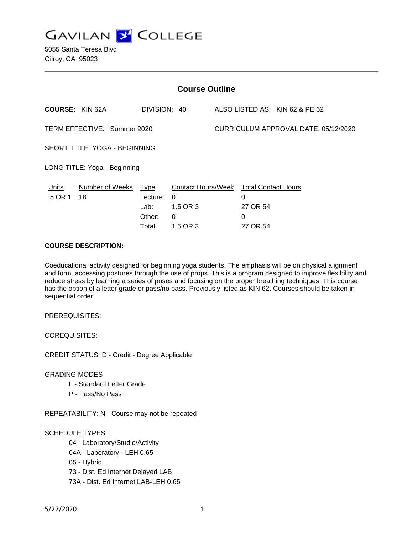

5055 Santa Teresa Blvd Gilroy, CA 95023

| <b>Course Outline</b>         |                       |                                    |                                                                     |                                      |                    |                                |
|-------------------------------|-----------------------|------------------------------------|---------------------------------------------------------------------|--------------------------------------|--------------------|--------------------------------|
| <b>COURSE: KIN 62A</b>        |                       | DIVISION: 40                       |                                                                     |                                      |                    | ALSO LISTED AS: KIN 62 & PE 62 |
| TERM EFFECTIVE: Summer 2020   |                       |                                    |                                                                     | CURRICULUM APPROVAL DATE: 05/12/2020 |                    |                                |
| SHORT TITLE: YOGA - BEGINNING |                       |                                    |                                                                     |                                      |                    |                                |
| LONG TITLE: Yoga - Beginning  |                       |                                    |                                                                     |                                      |                    |                                |
| Units<br>.5 OR 1              | Number of Weeks<br>18 | Type<br>Lecture:<br>Lab:<br>Other: | Contact Hours/Week Total Contact Hours<br>$\Omega$<br>1.5 OR 3<br>0 |                                      | 0<br>27 OR 54<br>0 |                                |
|                               |                       | Total:                             | 1.5 OR 3                                                            |                                      | 27 OR 54           |                                |

### **COURSE DESCRIPTION:**

Coeducational activity designed for beginning yoga students. The emphasis will be on physical alignment and form, accessing postures through the use of props. This is a program designed to improve flexibility and reduce stress by learning a series of poses and focusing on the proper breathing techniques. This course has the option of a letter grade or pass/no pass. Previously listed as KIN 62. Courses should be taken in sequential order.

PREREQUISITES:

COREQUISITES:

CREDIT STATUS: D - Credit - Degree Applicable

### GRADING MODES

- L Standard Letter Grade
- P Pass/No Pass

REPEATABILITY: N - Course may not be repeated

## SCHEDULE TYPES:

- 04 Laboratory/Studio/Activity
- 04A Laboratory LEH 0.65
- 05 Hybrid
- 73 Dist. Ed Internet Delayed LAB
- 73A Dist. Ed Internet LAB-LEH 0.65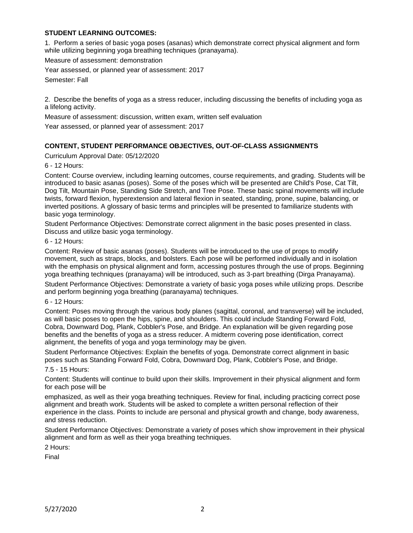## **STUDENT LEARNING OUTCOMES:**

1. Perform a series of basic yoga poses (asanas) which demonstrate correct physical alignment and form while utilizing beginning yoga breathing techniques (pranayama).

Measure of assessment: demonstration

Year assessed, or planned year of assessment: 2017

Semester: Fall

2. Describe the benefits of yoga as a stress reducer, including discussing the benefits of including yoga as a lifelong activity.

Measure of assessment: discussion, written exam, written self evaluation

Year assessed, or planned year of assessment: 2017

# **CONTENT, STUDENT PERFORMANCE OBJECTIVES, OUT-OF-CLASS ASSIGNMENTS**

Curriculum Approval Date: 05/12/2020

6 - 12 Hours:

Content: Course overview, including learning outcomes, course requirements, and grading. Students will be introduced to basic asanas (poses). Some of the poses which will be presented are Child's Pose, Cat Tilt, Dog Tilt, Mountain Pose, Standing Side Stretch, and Tree Pose. These basic spinal movements will include twists, forward flexion, hyperextension and lateral flexion in seated, standing, prone, supine, balancing, or inverted positions. A glossary of basic terms and principles will be presented to familiarize students with basic yoga terminology.

Student Performance Objectives: Demonstrate correct alignment in the basic poses presented in class. Discuss and utilize basic yoga terminology.

6 - 12 Hours:

Content: Review of basic asanas (poses). Students will be introduced to the use of props to modify movement, such as straps, blocks, and bolsters. Each pose will be performed individually and in isolation with the emphasis on physical alignment and form, accessing postures through the use of props. Beginning yoga breathing techniques (pranayama) will be introduced, such as 3-part breathing (Dirga Pranayama).

Student Performance Objectives: Demonstrate a variety of basic yoga poses while utilizing props. Describe and perform beginning yoga breathing (paranayama) techniques.

6 - 12 Hours:

Content: Poses moving through the various body planes (sagittal, coronal, and transverse) will be included, as will basic poses to open the hips, spine, and shoulders. This could include Standing Forward Fold, Cobra, Downward Dog, Plank, Cobbler's Pose, and Bridge. An explanation will be given regarding pose benefits and the benefits of yoga as a stress reducer. A midterm covering pose identification, correct alignment, the benefits of yoga and yoga terminology may be given.

Student Performance Objectives: Explain the benefits of yoga. Demonstrate correct alignment in basic poses such as Standing Forward Fold, Cobra, Downward Dog, Plank, Cobbler's Pose, and Bridge.

7.5 - 15 Hours:

Content: Students will continue to build upon their skills. Improvement in their physical alignment and form for each pose will be

emphasized, as well as their yoga breathing techniques. Review for final, including practicing correct pose alignment and breath work. Students will be asked to complete a written personal reflection of their experience in the class. Points to include are personal and physical growth and change, body awareness, and stress reduction.

Student Performance Objectives: Demonstrate a variety of poses which show improvement in their physical alignment and form as well as their yoga breathing techniques.

2 Hours:

Final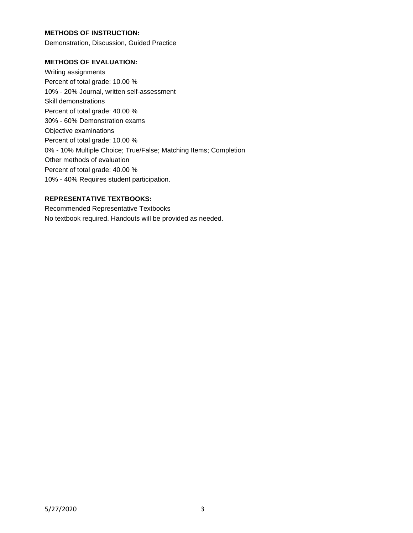## **METHODS OF INSTRUCTION:**

Demonstration, Discussion, Guided Practice

### **METHODS OF EVALUATION:**

Writing assignments Percent of total grade: 10.00 % 10% - 20% Journal, written self-assessment Skill demonstrations Percent of total grade: 40.00 % 30% - 60% Demonstration exams Objective examinations Percent of total grade: 10.00 % 0% - 10% Multiple Choice; True/False; Matching Items; Completion Other methods of evaluation Percent of total grade: 40.00 % 10% - 40% Requires student participation.

### **REPRESENTATIVE TEXTBOOKS:**

Recommended Representative Textbooks No textbook required. Handouts will be provided as needed.